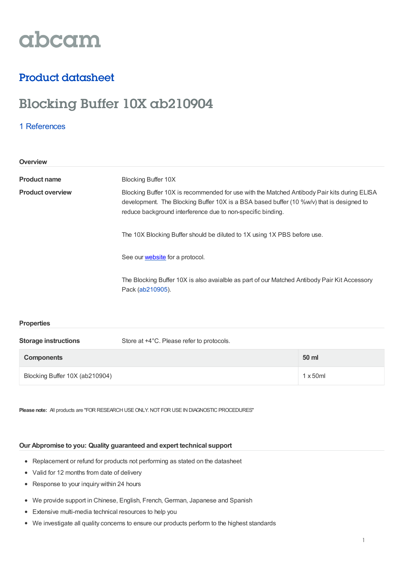

## Product datasheet

# Blocking Buffer 10X ab210904

### 1 [References](https://www.abcam.com/blocking-buffer-10x-ab210904.html#description_references)

| Overview                |                                                                                                                                                                                                                                                        |
|-------------------------|--------------------------------------------------------------------------------------------------------------------------------------------------------------------------------------------------------------------------------------------------------|
| <b>Product name</b>     | <b>Blocking Buffer 10X</b>                                                                                                                                                                                                                             |
| <b>Product overview</b> | Blocking Buffer 10X is recommended for use with the Matched Antibody Pair kits during ELISA<br>development. The Blocking Buffer 10X is a BSA based buffer (10 %w/v) that is designed to<br>reduce background interference due to non-specific binding. |
|                         | The 10X Blocking Buffer should be diluted to 1X using 1X PBS before use.                                                                                                                                                                               |
|                         | See our <b>website</b> for a protocol.                                                                                                                                                                                                                 |
|                         | The Blocking Buffer 10X is also avaialble as part of our Matched Antibody Pair Kit Accessory<br>Pack (ab210905).                                                                                                                                       |

#### **Properties**

**Storage instructions** Store at +4°C. Please refer to protocols.

| <b>Components</b>              | 50 ml            |
|--------------------------------|------------------|
| Blocking Buffer 10X (ab210904) | $1 \times 50$ ml |

**Please note:** All products are "FOR RESEARCH USE ONLY. NOT FOR USE IN DIAGNOSTIC PROCEDURES"

#### **Our Abpromise to you: Quality guaranteed and expert technical support**

- Replacement or refund for products not performing as stated on the datasheet
- Valid for 12 months from date of delivery
- Response to your inquiry within 24 hours
- We provide support in Chinese, English, French, German, Japanese and Spanish
- Extensive multi-media technical resources to help you
- We investigate all quality concerns to ensure our products perform to the highest standards